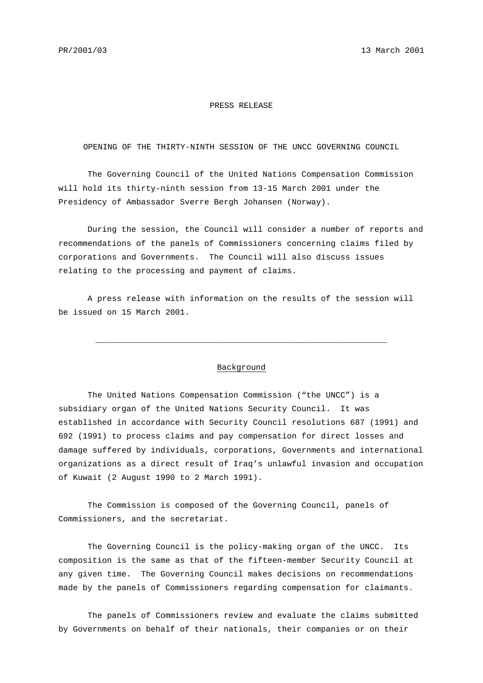## PRESS RELEASE

OPENING OF THE THIRTY-NINTH SESSION OF THE UNCC GOVERNING COUNCIL

The Governing Council of the United Nations Compensation Commission will hold its thirty-ninth session from 13-15 March 2001 under the Presidency of Ambassador Sverre Bergh Johansen (Norway).

During the session, the Council will consider a number of reports and recommendations of the panels of Commissioners concerning claims filed by corporations and Governments. The Council will also discuss issues relating to the processing and payment of claims.

A press release with information on the results of the session will be issued on 15 March 2001.

## Background

\_\_\_\_\_\_\_\_\_\_\_\_\_\_\_\_\_\_\_\_\_\_\_\_\_\_\_\_\_\_\_\_\_\_\_\_\_\_\_\_\_\_\_\_\_\_\_\_\_\_\_\_\_\_\_\_\_\_\_\_

The United Nations Compensation Commission ("the UNCC") is a subsidiary organ of the United Nations Security Council. It was established in accordance with Security Council resolutions 687 (1991) and 692 (1991) to process claims and pay compensation for direct losses and damage suffered by individuals, corporations, Governments and international organizations as a direct result of Iraq's unlawful invasion and occupation of Kuwait (2 August 1990 to 2 March 1991).

The Commission is composed of the Governing Council, panels of Commissioners, and the secretariat.

The Governing Council is the policy-making organ of the UNCC. Its composition is the same as that of the fifteen-member Security Council at any given time. The Governing Council makes decisions on recommendations made by the panels of Commissioners regarding compensation for claimants.

The panels of Commissioners review and evaluate the claims submitted by Governments on behalf of their nationals, their companies or on their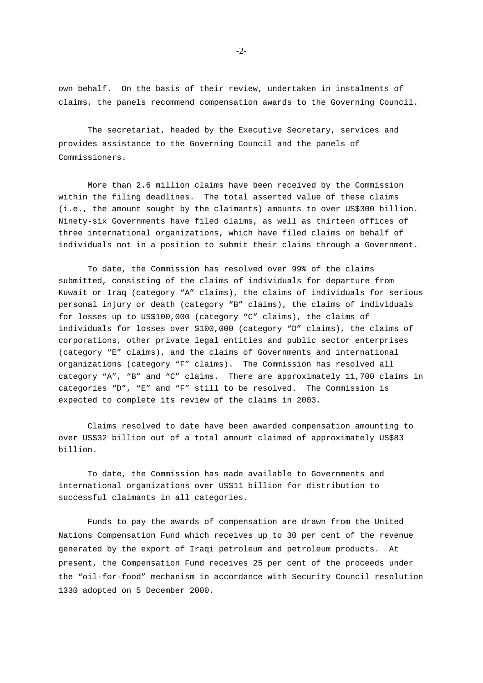own behalf. On the basis of their review, undertaken in instalments of claims, the panels recommend compensation awards to the Governing Council.

The secretariat, headed by the Executive Secretary, services and provides assistance to the Governing Council and the panels of Commissioners.

More than 2.6 million claims have been received by the Commission within the filing deadlines. The total asserted value of these claims (i.e., the amount sought by the claimants) amounts to over US\$300 billion. Ninety-six Governments have filed claims, as well as thirteen offices of three international organizations, which have filed claims on behalf of individuals not in a position to submit their claims through a Government.

To date, the Commission has resolved over 99% of the claims submitted, consisting of the claims of individuals for departure from Kuwait or Iraq (category "A" claims), the claims of individuals for serious personal injury or death (category "B" claims), the claims of individuals for losses up to US\$100,000 (category "C" claims), the claims of individuals for losses over \$100,000 (category "D" claims), the claims of corporations, other private legal entities and public sector enterprises (category "E" claims), and the claims of Governments and international organizations (category "F" claims). The Commission has resolved all category "A", "B" and "C" claims. There are approximately 11,700 claims in categories "D", "E" and "F" still to be resolved. The Commission is expected to complete its review of the claims in 2003.

Claims resolved to date have been awarded compensation amounting to over US\$32 billion out of a total amount claimed of approximately US\$83 billion.

To date, the Commission has made available to Governments and international organizations over US\$11 billion for distribution to successful claimants in all categories.

Funds to pay the awards of compensation are drawn from the United Nations Compensation Fund which receives up to 30 per cent of the revenue generated by the export of Iraqi petroleum and petroleum products. At present, the Compensation Fund receives 25 per cent of the proceeds under the "oil-for-food" mechanism in accordance with Security Council resolution 1330 adopted on 5 December 2000.